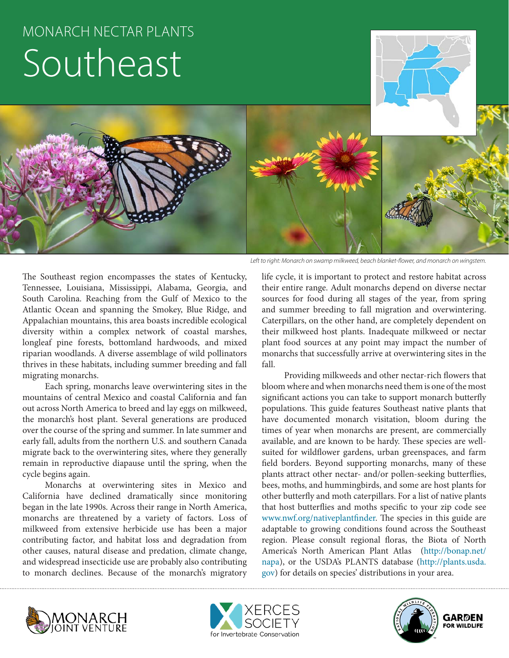# MONARCH NECTAR PLANTS Southeast



*Left to right: Monarch on swamp milkweed, beach blanket-flower, and monarch on wingstem.*

The Southeast region encompasses the states of Kentucky, Tennessee, Louisiana, Mississippi, Alabama, Georgia, and South Carolina. Reaching from the Gulf of Mexico to the Atlantic Ocean and spanning the Smokey, Blue Ridge, and Appalachian mountains, this area boasts incredible ecological diversity within a complex network of coastal marshes, longleaf pine forests, bottomland hardwoods, and mixed riparian woodlands. A diverse assemblage of wild pollinators thrives in these habitats, including summer breeding and fall migrating monarchs.

Each spring, monarchs leave overwintering sites in the mountains of central Mexico and coastal California and fan out across North America to breed and lay eggs on milkweed, the monarch's host plant. Several generations are produced over the course of the spring and summer. In late summer and early fall, adults from the northern U.S. and southern Canada migrate back to the overwintering sites, where they generally remain in reproductive diapause until the spring, when the cycle begins again.

Monarchs at overwintering sites in Mexico and California have declined dramatically since monitoring began in the late 1990s. Across their range in North America, monarchs are threatened by a variety of factors. Loss of milkweed from extensive herbicide use has been a major contributing factor, and habitat loss and degradation from other causes, natural disease and predation, climate change, and widespread insecticide use are probably also contributing to monarch declines. Because of the monarch's migratory

life cycle, it is important to protect and restore habitat across their entire range. Adult monarchs depend on diverse nectar sources for food during all stages of the year, from spring and summer breeding to fall migration and overwintering. Caterpillars, on the other hand, are completely dependent on their milkweed host plants. Inadequate milkweed or nectar plant food sources at any point may impact the number of monarchs that successfully arrive at overwintering sites in the fall.

Providing milkweeds and other nectar-rich flowers that bloom where and when monarchs need them is one of the most significant actions you can take to support monarch butterfly populations. This guide features Southeast native plants that have documented monarch visitation, bloom during the times of year when monarchs are present, are commercially available, and are known to be hardy. These species are wellsuited for wildflower gardens, urban greenspaces, and farm field borders. Beyond supporting monarchs, many of these plants attract other nectar- and/or pollen-seeking butterflies, bees, moths, and hummingbirds, and some are host plants for other butterfly and moth caterpillars. For a list of native plants that host butterflies and moths specific to your zip code see www.nwf.org/nativeplantfinder. The species in this guide are adaptable to growing conditions found across the Southeast region. Please consult regional floras, the Biota of North America's North American Plant Atlas (http://bonap.net/ napa), or the USDA's PLANTS database (http://plants.usda. gov) for details on species' distributions in your area.





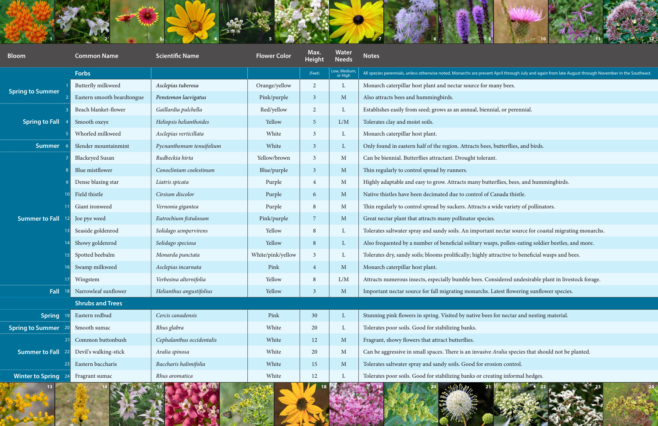

|                         |                            |                           |                     |                       |                        | 10                                                                                                                                                    |
|-------------------------|----------------------------|---------------------------|---------------------|-----------------------|------------------------|-------------------------------------------------------------------------------------------------------------------------------------------------------|
| <b>Bloom</b>            | <b>Common Name</b>         | <b>Scientific Name</b>    | <b>Flower Color</b> | Max.<br><b>Height</b> | Water<br><b>Needs</b>  | <b>Notes</b>                                                                                                                                          |
|                         | <b>Forbs</b>               |                           |                     | (Feet)                | Low, Medium<br>or High | All species perennials, unless otherwise noted. Monarchs are present April through July and again from late August through November in the Southeast. |
| <b>Spring to Summer</b> | <b>Butterfly milkweed</b>  | Asclepias tuberosa        | Orange/yellow       | 2                     | $\mathbf{L}$           | Monarch caterpillar host plant and nectar source for many bees.                                                                                       |
|                         | Eastern smooth beardtongue | Penstemon laevigatus      | Pink/purple         | $\overline{3}$        | $\mathbf{M}$           | Also attracts bees and hummingbirds.                                                                                                                  |
|                         | Beach blanket-flower       | Gaillardia pulchella      | Red/yellow          | 2                     | L                      | Establishes easily from seed; grows as an annual, biennial, or perennial.                                                                             |
| <b>Spring to Fall</b>   | Smooth oxeye               | Heliopsis helianthoides   | Yellow              | $\overline{5}$        | L/M                    | Tolerates clay and moist soils.                                                                                                                       |
|                         | Whorled milkweed           | Asclepias verticillata    | White               | 3                     | L                      | Monarch caterpillar host plant.                                                                                                                       |
| <b>Summer</b>           | Slender mountainmint       | Pycnanthemum tenuifolium  | White               | $\overline{3}$        | $\mathbf{L}$           | Only found in eastern half of the region. Attracts bees, butterflies, and birds.                                                                      |
|                         | <b>Blackeyed Susan</b>     | Rudbeckia hirta           | Yellow/brown        | 3                     | M                      | Can be biennial. Butterflies attractant. Drought tolerant.                                                                                            |
|                         | Blue mistflower            | Conoclinium coelestinum   | Blue/purple         | $\overline{3}$        | $\mathbf{M}$           | Thin regularly to control spread by runners.                                                                                                          |
|                         | Dense blazing star         | Liatris spicata           | Purple              | $\overline{4}$        | M                      | Highly adaptable and easy to grow. Attracts many butterflies, bees, and hummingbirds.                                                                 |
| <b>Summer to Fall</b>   | Field thistle              | Cirsium discolor          | Purple              | 6                     | $\mathbf{M}$           | Native thistles have been decimated due to control of Canada thistle.                                                                                 |
|                         | Giant ironweed             | Vernonia gigantea         | Purple              | 8                     | M                      | Thin regularly to control spread by suckers. Attracts a wide variety of pollinators.                                                                  |
|                         | Joe pye weed               | Eutrochium fistulosum     | Pink/purple         | 7                     | $M_{\odot}$            | Great nectar plant that attracts many pollinator species.                                                                                             |
|                         | Seaside goldenrod          | Solidago sempervirens     | Yellow              | 8                     | L                      | Tolerates saltwater spray and sandy soils. An important nectar source for coastal migrating monarchs.                                                 |
|                         | Showy goldenrod            | Solidago speciosa         | Yellow              | 8                     | $\mathbf{L}$           | Also frequented by a number of beneficial solitary wasps, pollen-eating soldier beetles, and more.                                                    |
|                         | Spotted beebalm            | Monarda punctata          | White/pink/yellow   | 3                     | L                      | Tolerates dry, sandy soils; blooms prolifically; highly attractive to beneficial wasps and bees.                                                      |
|                         | Swamp milkweed             | Asclepias incarnata       | Pink                | $\overline{4}$        | $\mathbf{M}$           | Monarch caterpillar host plant.                                                                                                                       |
|                         | Wingstem                   | Verbesina alternifolia    | Yellow              | 8                     | L/M                    | Attracts numerous insects, especially bumble bees. Considered undesirable plant in livestock forage.                                                  |
| Fall                    | Narrowleaf sunflower       | Helianthus angustifolius  | Yellow              | 3                     | $M_{\odot}$            | Important nectar source for fall migrating monarchs. Latest flowering sunflower species.                                                              |
|                         | <b>Shrubs and Trees</b>    |                           |                     |                       |                        |                                                                                                                                                       |
| <b>Spring</b>           | Eastern redbud             | Cercis canadensis         | Pink                | 30                    | L                      | Stunning pink flowers in spring. Visited by native bees for nectar and nesting material.                                                              |
| <b>Spring to Summer</b> | Smooth sumac               | Rhus glabra               | White               | 20                    | L                      | Tolerates poor soils. Good for stabilizing banks.                                                                                                     |
|                         | Common buttonbush          | Cephalanthus occidentalis | White               | 12                    | $\mathbf{M}$           | Fragrant, showy flowers that attract butterflies.                                                                                                     |
| <b>Summer to Fall</b>   | Devil's walking-stick      | Aralia spinosa            | White               | 20                    | M                      | Can be aggressive in small spaces. There is an invasive Aralia species that should not be planted.                                                    |
|                         | Eastern baccharis          | Baccharis halimifolia     | White               | 15                    | $M_{\odot}$            | Tolerates saltwater spray and sandy soils. Good for erosion control.                                                                                  |
| <b>Winter to Spring</b> | Fragrant sumac             | Rhus aromatica            | White               | 12                    | L                      | Tolerates poor soils. Good for stabilizing banks or creating informal hedges.                                                                         |